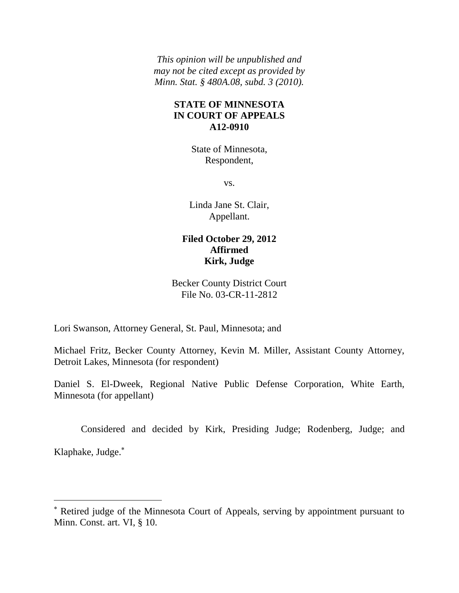*This opinion will be unpublished and may not be cited except as provided by Minn. Stat. § 480A.08, subd. 3 (2010).*

## **STATE OF MINNESOTA IN COURT OF APPEALS A12-0910**

State of Minnesota, Respondent,

vs.

Linda Jane St. Clair, Appellant.

# **Filed October 29, 2012 Affirmed Kirk, Judge**

## Becker County District Court File No. 03-CR-11-2812

Lori Swanson, Attorney General, St. Paul, Minnesota; and

 $\overline{a}$ 

Michael Fritz, Becker County Attorney, Kevin M. Miller, Assistant County Attorney, Detroit Lakes, Minnesota (for respondent)

Daniel S. El-Dweek, Regional Native Public Defense Corporation, White Earth, Minnesota (for appellant)

Considered and decided by Kirk, Presiding Judge; Rodenberg, Judge; and Klaphake, Judge.

Retired judge of the Minnesota Court of Appeals, serving by appointment pursuant to Minn. Const. art. VI, § 10.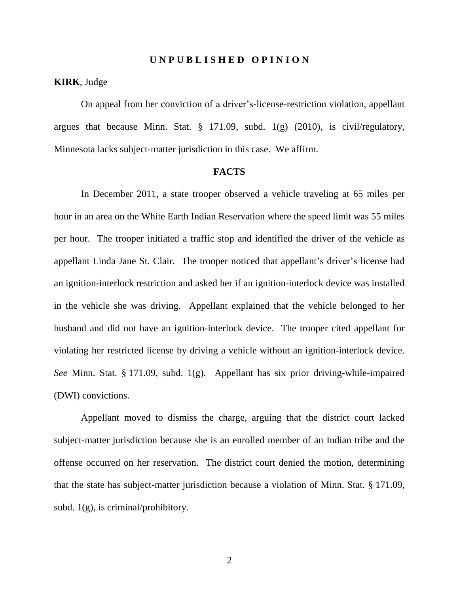#### **U N P U B L I S H E D O P I N I O N**

### **KIRK**, Judge

On appeal from her conviction of a driver's-license-restriction violation, appellant argues that because Minn. Stat. § 171.09, subd. 1(g) (2010), is civil/regulatory, Minnesota lacks subject-matter jurisdiction in this case. We affirm.

#### **FACTS**

In December 2011, a state trooper observed a vehicle traveling at 65 miles per hour in an area on the White Earth Indian Reservation where the speed limit was 55 miles per hour. The trooper initiated a traffic stop and identified the driver of the vehicle as appellant Linda Jane St. Clair. The trooper noticed that appellant's driver's license had an ignition-interlock restriction and asked her if an ignition-interlock device was installed in the vehicle she was driving. Appellant explained that the vehicle belonged to her husband and did not have an ignition-interlock device. The trooper cited appellant for violating her restricted license by driving a vehicle without an ignition-interlock device. *See* Minn. Stat. § 171.09, subd. 1(g). Appellant has six prior driving-while-impaired (DWI) convictions.

Appellant moved to dismiss the charge, arguing that the district court lacked subject-matter jurisdiction because she is an enrolled member of an Indian tribe and the offense occurred on her reservation. The district court denied the motion, determining that the state has subject-matter jurisdiction because a violation of Minn. Stat. § 171.09, subd.  $1(g)$ , is criminal/prohibitory.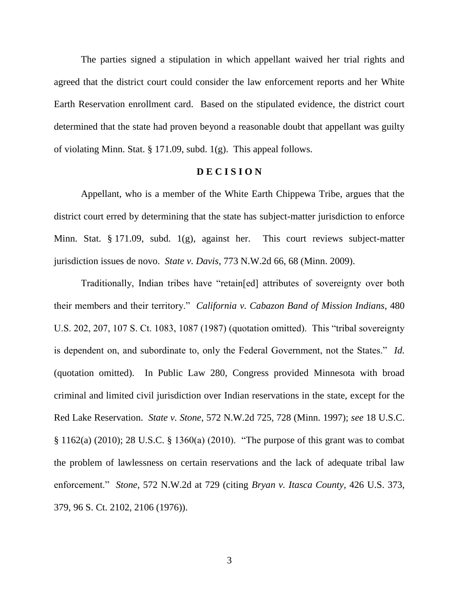The parties signed a stipulation in which appellant waived her trial rights and agreed that the district court could consider the law enforcement reports and her White Earth Reservation enrollment card. Based on the stipulated evidence, the district court determined that the state had proven beyond a reasonable doubt that appellant was guilty of violating Minn. Stat. § 171.09, subd. 1(g). This appeal follows.

### **D E C I S I O N**

Appellant, who is a member of the White Earth Chippewa Tribe, argues that the district court erred by determining that the state has subject-matter jurisdiction to enforce Minn. Stat. § 171.09, subd. 1(g), against her. This court reviews subject-matter jurisdiction issues de novo. *State v. Davis*, 773 N.W.2d 66, 68 (Minn. 2009).

Traditionally, Indian tribes have "retain[ed] attributes of sovereignty over both their members and their territory." *California v. Cabazon Band of Mission Indians*, 480 U.S. 202, 207, 107 S. Ct. 1083, 1087 (1987) (quotation omitted). This "tribal sovereignty is dependent on, and subordinate to, only the Federal Government, not the States." *Id.* (quotation omitted). In Public Law 280, Congress provided Minnesota with broad criminal and limited civil jurisdiction over Indian reservations in the state, except for the Red Lake Reservation. *State v. Stone*, 572 N.W.2d 725, 728 (Minn. 1997); *see* 18 U.S.C. § 1162(a) (2010); 28 U.S.C. § 1360(a) (2010). "The purpose of this grant was to combat the problem of lawlessness on certain reservations and the lack of adequate tribal law enforcement." *Stone*, 572 N.W.2d at 729 (citing *Bryan v. Itasca County*, 426 U.S. 373, 379, 96 S. Ct. 2102, 2106 (1976)).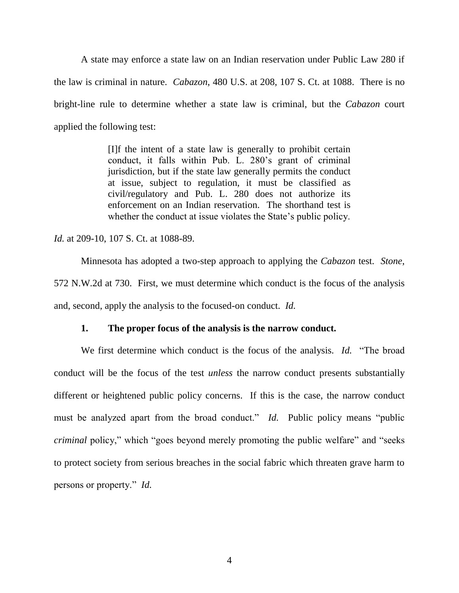A state may enforce a state law on an Indian reservation under Public Law 280 if the law is criminal in nature. *Cabazon*, 480 U.S. at 208, 107 S. Ct. at 1088. There is no bright-line rule to determine whether a state law is criminal, but the *Cabazon* court applied the following test:

> [I]f the intent of a state law is generally to prohibit certain conduct, it falls within Pub. L. 280's grant of criminal jurisdiction, but if the state law generally permits the conduct at issue, subject to regulation, it must be classified as civil/regulatory and Pub. L. 280 does not authorize its enforcement on an Indian reservation. The shorthand test is whether the conduct at issue violates the State's public policy.

*Id.* at 209-10, 107 S. Ct. at 1088-89.

Minnesota has adopted a two-step approach to applying the *Cabazon* test. *Stone*, 572 N.W.2d at 730. First, we must determine which conduct is the focus of the analysis and, second, apply the analysis to the focused-on conduct. *Id.*

### **1. The proper focus of the analysis is the narrow conduct.**

We first determine which conduct is the focus of the analysis. *Id.* "The broad conduct will be the focus of the test *unless* the narrow conduct presents substantially different or heightened public policy concerns. If this is the case, the narrow conduct must be analyzed apart from the broad conduct." *Id.* Public policy means "public *criminal* policy," which "goes beyond merely promoting the public welfare" and "seeks" to protect society from serious breaches in the social fabric which threaten grave harm to persons or property." *Id.*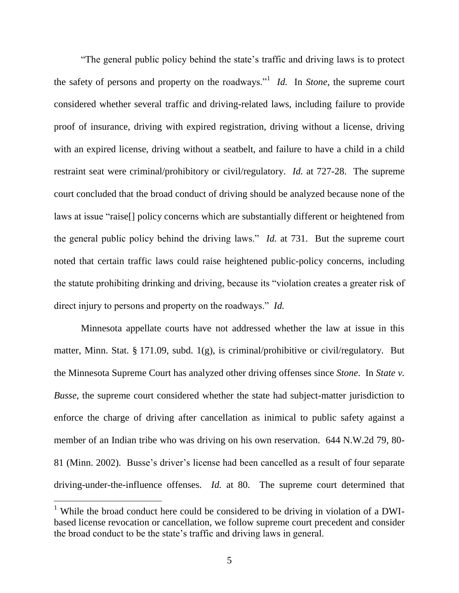"The general public policy behind the state's traffic and driving laws is to protect the safety of persons and property on the roadways."<sup>1</sup> *Id.* In *Stone*, the supreme court considered whether several traffic and driving-related laws, including failure to provide proof of insurance, driving with expired registration, driving without a license, driving with an expired license, driving without a seatbelt, and failure to have a child in a child restraint seat were criminal/prohibitory or civil/regulatory. *Id.* at 727-28. The supreme court concluded that the broad conduct of driving should be analyzed because none of the laws at issue "raise[] policy concerns which are substantially different or heightened from the general public policy behind the driving laws." *Id.* at 731. But the supreme court noted that certain traffic laws could raise heightened public-policy concerns, including the statute prohibiting drinking and driving, because its "violation creates a greater risk of direct injury to persons and property on the roadways." *Id.*

Minnesota appellate courts have not addressed whether the law at issue in this matter, Minn. Stat. § 171.09, subd. 1(g), is criminal/prohibitive or civil/regulatory. But the Minnesota Supreme Court has analyzed other driving offenses since *Stone*. In *State v. Busse*, the supreme court considered whether the state had subject-matter jurisdiction to enforce the charge of driving after cancellation as inimical to public safety against a member of an Indian tribe who was driving on his own reservation. 644 N.W.2d 79, 80- 81 (Minn. 2002). Busse's driver's license had been cancelled as a result of four separate driving-under-the-influence offenses. *Id.* at 80. The supreme court determined that

<sup>&</sup>lt;sup>1</sup> While the broad conduct here could be considered to be driving in violation of a DWIbased license revocation or cancellation, we follow supreme court precedent and consider the broad conduct to be the state's traffic and driving laws in general.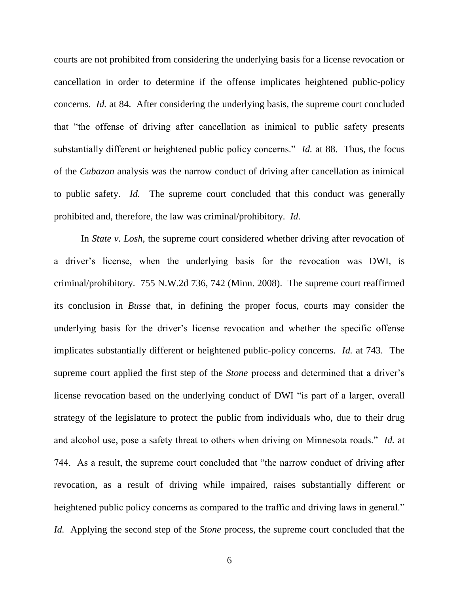courts are not prohibited from considering the underlying basis for a license revocation or cancellation in order to determine if the offense implicates heightened public-policy concerns. *Id.* at 84. After considering the underlying basis, the supreme court concluded that "the offense of driving after cancellation as inimical to public safety presents substantially different or heightened public policy concerns." *Id.* at 88. Thus, the focus of the *Cabazon* analysis was the narrow conduct of driving after cancellation as inimical to public safety. *Id.* The supreme court concluded that this conduct was generally prohibited and, therefore, the law was criminal/prohibitory. *Id.*

In *State v. Losh*, the supreme court considered whether driving after revocation of a driver's license, when the underlying basis for the revocation was DWI, is criminal/prohibitory. 755 N.W.2d 736, 742 (Minn. 2008). The supreme court reaffirmed its conclusion in *Busse* that, in defining the proper focus, courts may consider the underlying basis for the driver's license revocation and whether the specific offense implicates substantially different or heightened public-policy concerns. *Id.* at 743. The supreme court applied the first step of the *Stone* process and determined that a driver's license revocation based on the underlying conduct of DWI "is part of a larger, overall strategy of the legislature to protect the public from individuals who, due to their drug and alcohol use, pose a safety threat to others when driving on Minnesota roads." *Id.* at 744. As a result, the supreme court concluded that "the narrow conduct of driving after revocation, as a result of driving while impaired, raises substantially different or heightened public policy concerns as compared to the traffic and driving laws in general." *Id.* Applying the second step of the *Stone* process, the supreme court concluded that the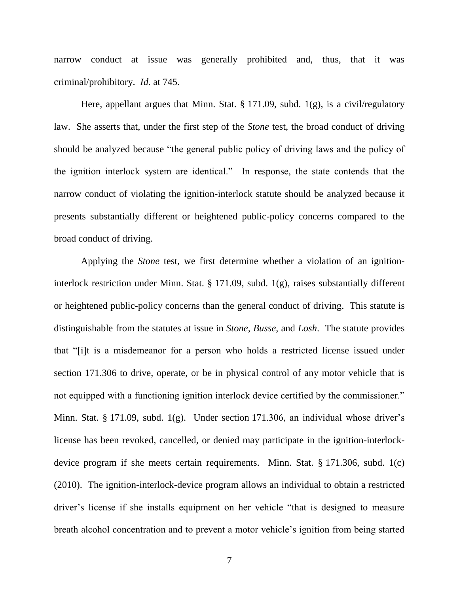narrow conduct at issue was generally prohibited and, thus, that it was criminal/prohibitory. *Id.* at 745.

Here, appellant argues that Minn. Stat. § 171.09, subd. 1(g), is a civil/regulatory law. She asserts that, under the first step of the *Stone* test, the broad conduct of driving should be analyzed because "the general public policy of driving laws and the policy of the ignition interlock system are identical." In response, the state contends that the narrow conduct of violating the ignition-interlock statute should be analyzed because it presents substantially different or heightened public-policy concerns compared to the broad conduct of driving.

Applying the *Stone* test, we first determine whether a violation of an ignitioninterlock restriction under Minn. Stat. § 171.09, subd. 1(g), raises substantially different or heightened public-policy concerns than the general conduct of driving. This statute is distinguishable from the statutes at issue in *Stone*, *Busse*, and *Losh*. The statute provides that "[i]t is a misdemeanor for a person who holds a restricted license issued under section 171.306 to drive, operate, or be in physical control of any motor vehicle that is not equipped with a functioning ignition interlock device certified by the commissioner." Minn. Stat. § 171.09, subd. 1(g). Under section 171.306, an individual whose driver's license has been revoked, cancelled, or denied may participate in the ignition-interlockdevice program if she meets certain requirements. Minn. Stat. § 171.306, subd. 1(c) (2010). The ignition-interlock-device program allows an individual to obtain a restricted driver's license if she installs equipment on her vehicle "that is designed to measure breath alcohol concentration and to prevent a motor vehicle's ignition from being started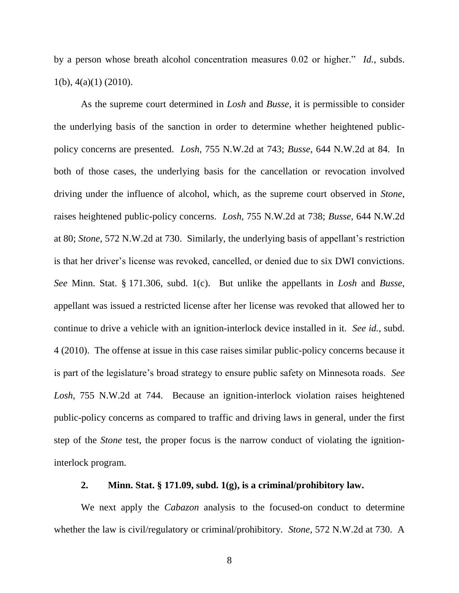by a person whose breath alcohol concentration measures 0.02 or higher." *Id.*, subds.  $1(b)$ ,  $4(a)(1)$  (2010).

As the supreme court determined in *Losh* and *Busse*, it is permissible to consider the underlying basis of the sanction in order to determine whether heightened publicpolicy concerns are presented. *Losh*, 755 N.W.2d at 743; *Busse*, 644 N.W.2d at 84. In both of those cases, the underlying basis for the cancellation or revocation involved driving under the influence of alcohol, which, as the supreme court observed in *Stone*, raises heightened public-policy concerns. *Losh*, 755 N.W.2d at 738; *Busse*, 644 N.W.2d at 80; *Stone*, 572 N.W.2d at 730. Similarly, the underlying basis of appellant's restriction is that her driver's license was revoked, cancelled, or denied due to six DWI convictions. *See* Minn. Stat. § 171.306, subd. 1(c). But unlike the appellants in *Losh* and *Busse*, appellant was issued a restricted license after her license was revoked that allowed her to continue to drive a vehicle with an ignition-interlock device installed in it. *See id.*, subd. 4 (2010). The offense at issue in this case raises similar public-policy concerns because it is part of the legislature's broad strategy to ensure public safety on Minnesota roads. *See Losh*, 755 N.W.2d at 744. Because an ignition-interlock violation raises heightened public-policy concerns as compared to traffic and driving laws in general, under the first step of the *Stone* test, the proper focus is the narrow conduct of violating the ignitioninterlock program.

## **2. Minn. Stat. § 171.09, subd. 1(g), is a criminal/prohibitory law.**

We next apply the *Cabazon* analysis to the focused-on conduct to determine whether the law is civil/regulatory or criminal/prohibitory. *Stone*, 572 N.W.2d at 730. A

8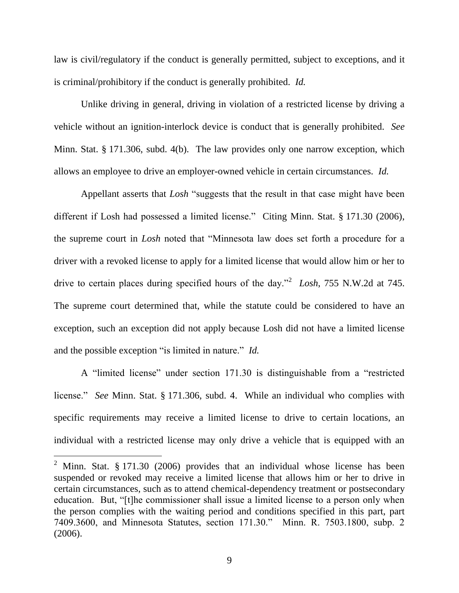law is civil/regulatory if the conduct is generally permitted, subject to exceptions, and it is criminal/prohibitory if the conduct is generally prohibited. *Id.*

Unlike driving in general, driving in violation of a restricted license by driving a vehicle without an ignition-interlock device is conduct that is generally prohibited. *See* Minn. Stat. § 171.306, subd. 4(b). The law provides only one narrow exception, which allows an employee to drive an employer-owned vehicle in certain circumstances. *Id.*

Appellant asserts that *Losh* "suggests that the result in that case might have been different if Losh had possessed a limited license." Citing Minn. Stat. § 171.30 (2006), the supreme court in *Losh* noted that "Minnesota law does set forth a procedure for a driver with a revoked license to apply for a limited license that would allow him or her to drive to certain places during specified hours of the day."<sup>2</sup> *Losh*, 755 N.W.2d at 745. The supreme court determined that, while the statute could be considered to have an exception, such an exception did not apply because Losh did not have a limited license and the possible exception "is limited in nature." *Id.* 

A "limited license" under section 171.30 is distinguishable from a "restricted license." *See* Minn. Stat. § 171.306, subd. 4. While an individual who complies with specific requirements may receive a limited license to drive to certain locations, an individual with a restricted license may only drive a vehicle that is equipped with an

<sup>&</sup>lt;sup>2</sup> Minn. Stat. § 171.30 (2006) provides that an individual whose license has been suspended or revoked may receive a limited license that allows him or her to drive in certain circumstances, such as to attend chemical-dependency treatment or postsecondary education. But, "[t]he commissioner shall issue a limited license to a person only when the person complies with the waiting period and conditions specified in this part, part 7409.3600, and Minnesota Statutes, section 171.30." Minn. R. 7503.1800, subp. 2 (2006).